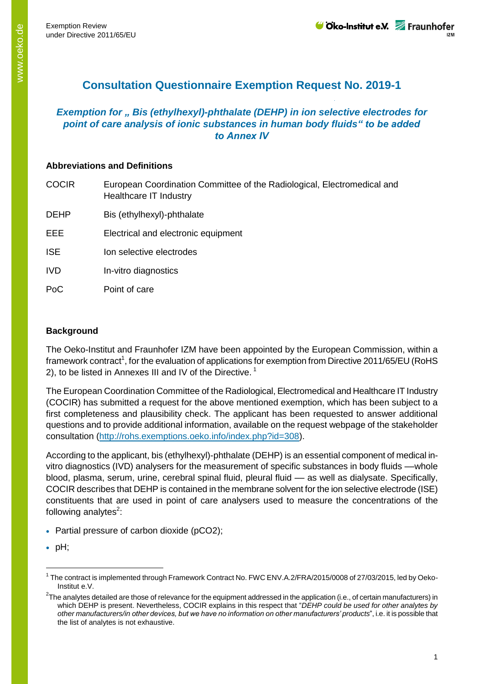# **Consultation Questionnaire Exemption Request No. 2019-1**

# *Exemption for " Bis (ethylhexyl)-phthalate (DEHP) in ion selective electrodes for point of care analysis of ionic substances in human body fluids" to be added to Annex IV*

#### **Abbreviations and Definitions**

| European Coordination Committee of the Radiological, Electromedical and<br>Healthcare IT Industry |
|---------------------------------------------------------------------------------------------------|
| Bis (ethylhexyl)-phthalate                                                                        |
| Electrical and electronic equipment                                                               |
| Ion selective electrodes                                                                          |
| In-vitro diagnostics                                                                              |
| Point of care                                                                                     |
|                                                                                                   |

## **Background**

The Oeko-Institut and Fraunhofer IZM have been appointed by the European Commission, within a framework contract<sup>1</sup>, for the evaluation of applications for exemption from Directive 2011/65/EU (RoHS 2), to be listed in Annexes III and IV of the Directive.<sup>1</sup>

The European Coordination Committee of the Radiological, Electromedical and Healthcare IT Industry (COCIR) has submitted a request for the above mentioned exemption, which has been subject to a first completeness and plausibility check. The applicant has been requested to answer additional questions and to provide additional information, available on the request webpage of the stakeholder consultation [\(http://rohs.exemptions.oeko.info/index.php?id=308\)](http://rohs.exemptions.oeko.info/index.php?id=308).

According to the applicant, bis (ethylhexyl)-phthalate (DEHP) is an essential component of medical invitro diagnostics (IVD) analysers for the measurement of specific substances in body fluids ––whole blood, plasma, serum, urine, cerebral spinal fluid, pleural fluid –– as well as dialysate. Specifically, COCIR describes that DEHP is contained in the membrane solvent for the ion selective electrode (ISE) constituents that are used in point of care analysers used to measure the concentrations of the following analytes<sup>2</sup>:

- Partial pressure of carbon dioxide (pCO2):
- $\bullet$  pH;

<sup>&</sup>lt;sup>1</sup> The contract is implemented through Framework Contract No. FWC ENV.A.2/FRA/2015/0008 of 27/03/2015, led by Oeko-Institut e.V.

 $^2$ The analytes detailed are those of relevance for the equipment addressed in the application (i.e., of certain manufacturers) in which DEHP is present. Nevertheless, COCIR explains in this respect that "*DEHP could be used for other analytes by other manufacturers/in other devices, but we have no information on other manufacturers' products*", i.e. it is possible that the list of analytes is not exhaustive.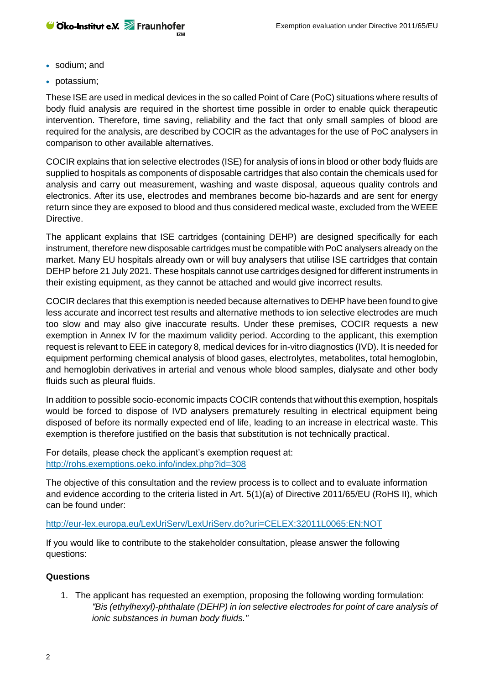- sodium; and
- potassium:

These ISE are used in medical devices in the so called Point of Care (PoC) situations where results of body fluid analysis are required in the shortest time possible in order to enable quick therapeutic intervention. Therefore, time saving, reliability and the fact that only small samples of blood are required for the analysis, are described by COCIR as the advantages for the use of PoC analysers in comparison to other available alternatives.

COCIR explains that ion selective electrodes (ISE) for analysis of ions in blood or other body fluids are supplied to hospitals as components of disposable cartridges that also contain the chemicals used for analysis and carry out measurement, washing and waste disposal, aqueous quality controls and electronics. After its use, electrodes and membranes become bio-hazards and are sent for energy return since they are exposed to blood and thus considered medical waste, excluded from the WEEE Directive.

The applicant explains that ISE cartridges (containing DEHP) are designed specifically for each instrument, therefore new disposable cartridges must be compatible with PoC analysers already on the market. Many EU hospitals already own or will buy analysers that utilise ISE cartridges that contain DEHP before 21 July 2021. These hospitals cannot use cartridges designed for different instruments in their existing equipment, as they cannot be attached and would give incorrect results.

COCIR declares that this exemption is needed because alternatives to DEHP have been found to give less accurate and incorrect test results and alternative methods to ion selective electrodes are much too slow and may also give inaccurate results. Under these premises, COCIR requests a new exemption in Annex IV for the maximum validity period. According to the applicant, this exemption request is relevant to EEE in category 8, medical devices for in-vitro diagnostics (IVD). It is needed for equipment performing chemical analysis of blood gases, electrolytes, metabolites, total hemoglobin, and hemoglobin derivatives in arterial and venous whole blood samples, dialysate and other body fluids such as pleural fluids.

In addition to possible socio-economic impacts COCIR contends that without this exemption, hospitals would be forced to dispose of IVD analysers prematurely resulting in electrical equipment being disposed of before its normally expected end of life, leading to an increase in electrical waste. This exemption is therefore justified on the basis that substitution is not technically practical.

For details, please check the applicant's exemption request at: <http://rohs.exemptions.oeko.info/index.php?id=308>

The objective of this consultation and the review process is to collect and to evaluate information and evidence according to the criteria listed in Art. 5(1)(a) of Directive 2011/65/EU (RoHS II), which can be found under:

#### <http://eur-lex.europa.eu/LexUriServ/LexUriServ.do?uri=CELEX:32011L0065:EN:NOT>

If you would like to contribute to the stakeholder consultation, please answer the following questions:

## **Questions**

1. The applicant has requested an exemption, proposing the following wording formulation: *"Bis (ethylhexyl)-phthalate (DEHP) in ion selective electrodes for point of care analysis of ionic substances in human body fluids."*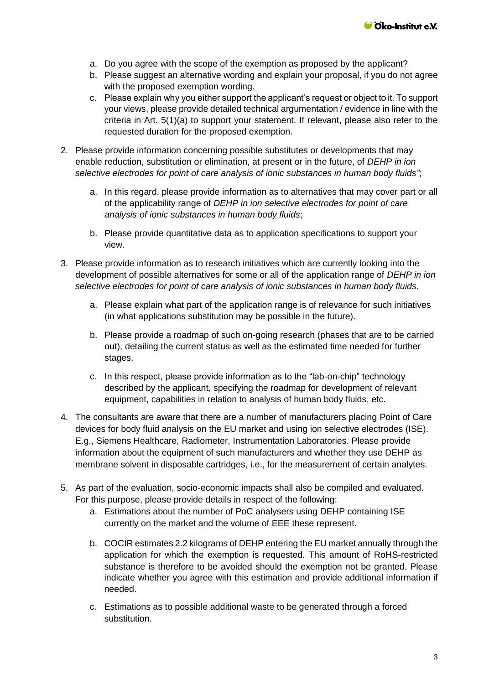- a. Do you agree with the scope of the exemption as proposed by the applicant?
- b. Please suggest an alternative wording and explain your proposal, if you do not agree with the proposed exemption wording.
- c. Please explain why you either support the applicant's request or object to it. To support your views, please provide detailed technical argumentation / evidence in line with the criteria in Art. 5(1)(a) to support your statement. If relevant, please also refer to the requested duration for the proposed exemption.
- 2. Please provide information concerning possible substitutes or developments that may enable reduction, substitution or elimination, at present or in the future, of *DEHP in ion selective electrodes for point of care analysis of ionic substances in human body fluids"*;
	- a. In this regard, please provide information as to alternatives that may cover part or all of the applicability range of *DEHP in ion selective electrodes for point of care analysis of ionic substances in human body fluids*;
	- b. Please provide quantitative data as to application specifications to support your view.
- 3. Please provide information as to research initiatives which are currently looking into the development of possible alternatives for some or all of the application range of *DEHP in ion selective electrodes for point of care analysis of ionic substances in human body fluids*.
	- a. Please explain what part of the application range is of relevance for such initiatives (in what applications substitution may be possible in the future).
	- b. Please provide a roadmap of such on-going research (phases that are to be carried out), detailing the current status as well as the estimated time needed for further stages.
	- c. In this respect, please provide information as to the "lab-on-chip" technology described by the applicant, specifying the roadmap for development of relevant equipment, capabilities in relation to analysis of human body fluids, etc.
- 4. The consultants are aware that there are a number of manufacturers placing Point of Care devices for body fluid analysis on the EU market and using ion selective electrodes (ISE). E.g., Siemens Healthcare, Radiometer, Instrumentation Laboratories. Please provide information about the equipment of such manufacturers and whether they use DEHP as membrane solvent in disposable cartridges, i.e., for the measurement of certain analytes.
- 5. As part of the evaluation, socio-economic impacts shall also be compiled and evaluated. For this purpose, please provide details in respect of the following:
	- a. Estimations about the number of PoC analysers using DEHP containing ISE currently on the market and the volume of EEE these represent.
	- b. COCIR estimates 2.2 kilograms of DEHP entering the EU market annually through the application for which the exemption is requested. This amount of RoHS-restricted substance is therefore to be avoided should the exemption not be granted. Please indicate whether you agree with this estimation and provide additional information if needed.
	- c. Estimations as to possible additional waste to be generated through a forced substitution.